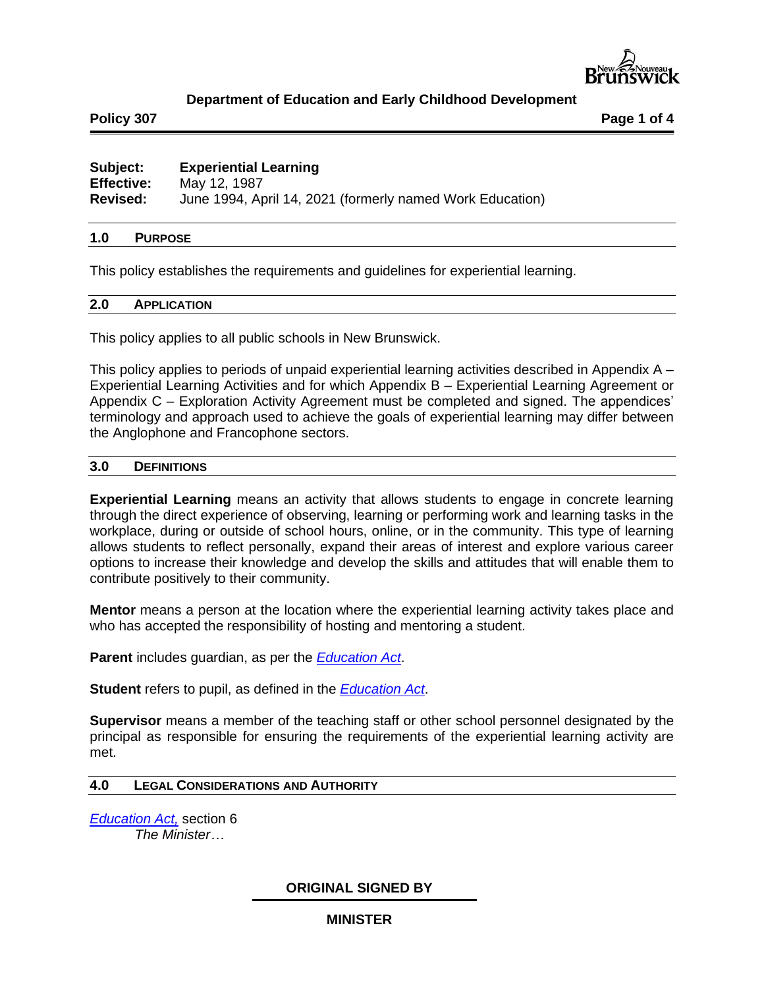

# **Department of Education and Early Childhood Development**

**Policy 307 Page 1 of 4**

# **Subject: Experiential Learning Effective:** May 12, 1987 **Revised:** June 1994, April 14, 2021 (formerly named Work Education)

### **1.0 PURPOSE**

This policy establishes the requirements and guidelines for experiential learning.

### **2.0 APPLICATION**

This policy applies to all public schools in New Brunswick.

This policy applies to periods of unpaid experiential learning activities described in Appendix A – Experiential Learning Activities and for which Appendix B – Experiential Learning Agreement or Appendix C – Exploration Activity Agreement must be completed and signed. The appendices' terminology and approach used to achieve the goals of experiential learning may differ between the Anglophone and Francophone sectors.

#### **3.0 DEFINITIONS**

**Experiential Learning** means an activity that allows students to engage in concrete learning through the direct experience of observing, learning or performing work and learning tasks in the workplace, during or outside of school hours, online, or in the community. This type of learning allows students to reflect personally, expand their areas of interest and explore various career options to increase their knowledge and develop the skills and attitudes that will enable them to contribute positively to their community.

**Mentor** means a person at the location where the experiential learning activity takes place and who has accepted the responsibility of hosting and mentoring a student.

**Parent** includes guardian, as per the *[Education Act](http://laws.gnb.ca/en/BrowseTitle)*.

**Student** refers to pupil, as defined in the *[Education Act](http://laws.gnb.ca/en/BrowseTitle)*.

**Supervisor** means a member of the teaching staff or other school personnel designated by the principal as responsible for ensuring the requirements of the experiential learning activity are met.

## **4.0 LEGAL CONSIDERATIONS AND AUTHORITY**

*[Education Act,](http://laws.gnb.ca/en/BrowseTitle)* section 6 *The Minister…*

## **ORIGINAL SIGNED BY**

#### **MINISTER**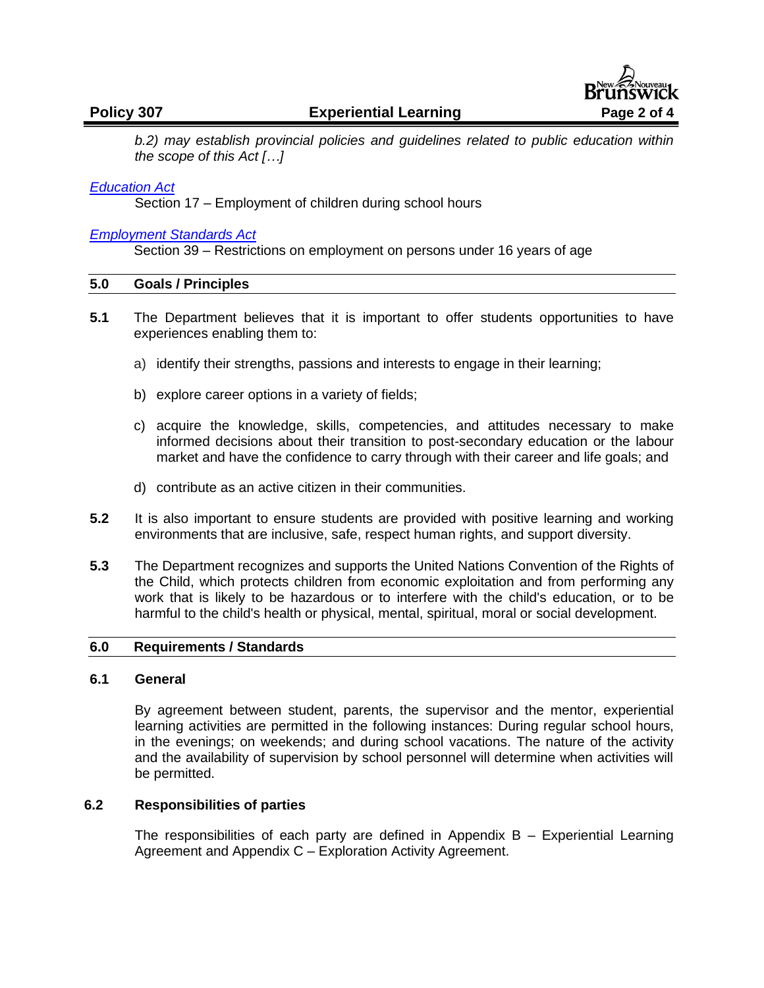

*b.2) may establish provincial policies and guidelines related to public education within the scope of this Act […]* 

## *[Education Act](http://laws.gnb.ca/en/BrowseTitle)*

Section 17 – Employment of children during school hours

### *[Employment Standards Act](http://laws.gnb.ca/en/BrowseTitle)*

Section 39 – Restrictions on employment on persons under 16 years of age

#### **5.0 Goals / Principles**

- **5.1** The Department believes that it is important to offer students opportunities to have experiences enabling them to:
	- a) identify their strengths, passions and interests to engage in their learning;
	- b) explore career options in a variety of fields;
	- c) acquire the knowledge, skills, competencies, and attitudes necessary to make informed decisions about their transition to post-secondary education or the labour market and have the confidence to carry through with their career and life goals; and
	- d) contribute as an active citizen in their communities.
- **5.2** It is also important to ensure students are provided with positive learning and working environments that are inclusive, safe, respect human rights, and support diversity.
- **5.3** The Department recognizes and supports the United Nations Convention of the Rights of the Child, which protects children from economic exploitation and from performing any work that is likely to be hazardous or to interfere with the child's education, or to be harmful to the child's health or physical, mental, spiritual, moral or social development.

#### **6.0 Requirements / Standards**

# **6.1 General**

By agreement between student, parents, the supervisor and the mentor, experiential learning activities are permitted in the following instances: During regular school hours, in the evenings; on weekends; and during school vacations. The nature of the activity and the availability of supervision by school personnel will determine when activities will be permitted.

## **6.2 Responsibilities of parties**

The responsibilities of each party are defined in Appendix  $B -$  Experiential Learning Agreement and Appendix C – Exploration Activity Agreement.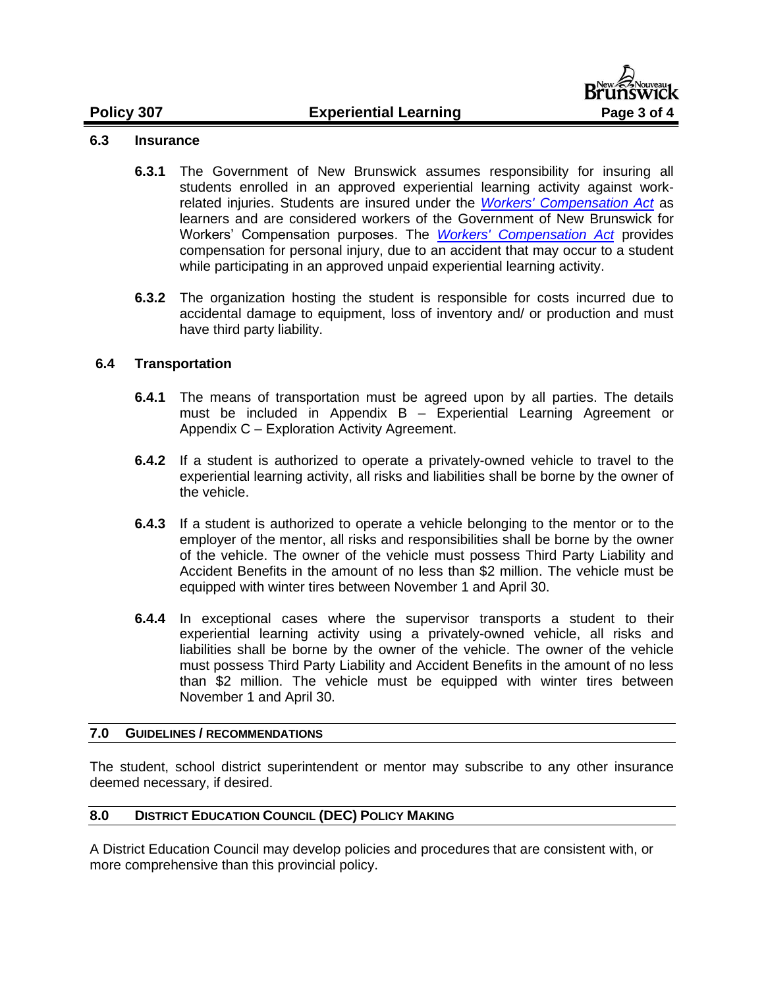# **Policy 307 Experiential Learning Page 3 of 4**



# **6.3 Insurance**

- **6.3.1** The Government of New Brunswick assumes responsibility for insuring all students enrolled in an approved experiential learning activity against workrelated injuries. Students are insured under the *[Workers' Compensation Act](http://laws.gnb.ca/en/ShowPdf/cs/W-13.pdf)* as learners and are considered workers of the Government of New Brunswick for Workers' Compensation purposes. The *[Workers' Compensation Act](http://laws.gnb.ca/en/ShowPdf/cs/W-13.pdf)* provides compensation for personal injury, due to an accident that may occur to a student while participating in an approved unpaid experiential learning activity.
- **6.3.2** The organization hosting the student is responsible for costs incurred due to accidental damage to equipment, loss of inventory and/ or production and must have third party liability.

# **6.4 Transportation**

- **6.4.1** The means of transportation must be agreed upon by all parties. The details must be included in Appendix B – Experiential Learning Agreement or Appendix C – Exploration Activity Agreement.
- **6.4.2** If a student is authorized to operate a privately-owned vehicle to travel to the experiential learning activity, all risks and liabilities shall be borne by the owner of the vehicle.
- **6.4.3** If a student is authorized to operate a vehicle belonging to the mentor or to the employer of the mentor, all risks and responsibilities shall be borne by the owner of the vehicle. The owner of the vehicle must possess Third Party Liability and Accident Benefits in the amount of no less than \$2 million. The vehicle must be equipped with winter tires between November 1 and April 30.
- **6.4.4** In exceptional cases where the supervisor transports a student to their experiential learning activity using a privately-owned vehicle, all risks and liabilities shall be borne by the owner of the vehicle. The owner of the vehicle must possess Third Party Liability and Accident Benefits in the amount of no less than \$2 million. The vehicle must be equipped with winter tires between November 1 and April 30.

## **7.0 GUIDELINES / RECOMMENDATIONS**

The student, school district superintendent or mentor may subscribe to any other insurance deemed necessary, if desired.

## **8.0 DISTRICT EDUCATION COUNCIL (DEC) POLICY MAKING**

A District Education Council may develop policies and procedures that are consistent with, or more comprehensive than this provincial policy.